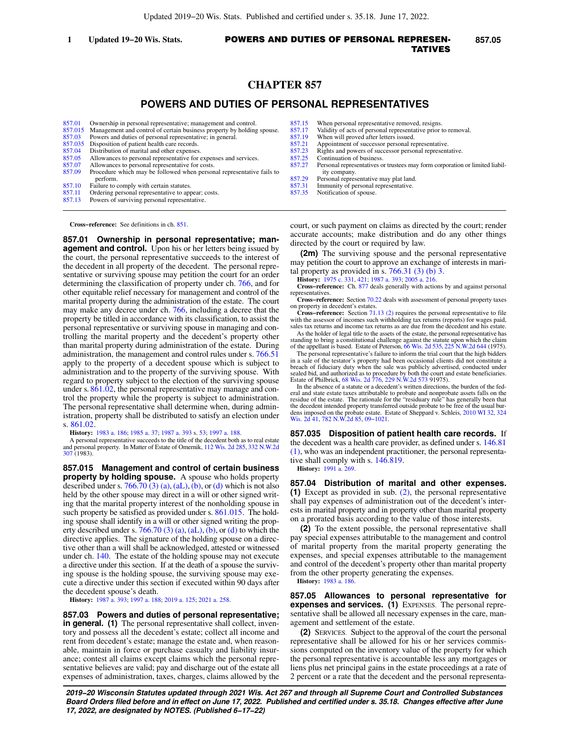# **CHAPTER 857**

# **POWERS AND DUTIES OF PERSONAL REPRESENTATIVES**

| 857.01 | Ownership in personal representative; management and control.                  |
|--------|--------------------------------------------------------------------------------|
|        | 857.015 Management and control of certain business property by holding spouse. |

- [857.03](https://docs.legis.wisconsin.gov/document/statutes/857.03) Powers and duties of personal representative; in general.
- [857.035](https://docs.legis.wisconsin.gov/document/statutes/857.035) Disposition of patient health care records.<br>857.04 Distribution of marital and other expenses
- Distribution of marital and other expenses.
- [857.05](https://docs.legis.wisconsin.gov/document/statutes/857.05) Allowances to personal representative for expenses and services.<br>857.07 Allowances to personal representative for costs.
- [857.07](https://docs.legis.wisconsin.gov/document/statutes/857.07) Allowances to personal representative for costs.<br>857.09 Procedure which may be followed when person Procedure which may be followed when personal representative fails to perform.
- [857.10](https://docs.legis.wisconsin.gov/document/statutes/857.10) Failure to comply with certain statutes.<br>857.11 Ordering personal representative to app
- [857.11](https://docs.legis.wisconsin.gov/document/statutes/857.11) Ordering personal representative to appear; costs.<br>857.13 Powers of surviving personal representative. Powers of surviving personal representative.

**Cross−reference:** See definitions in ch. [851.](https://docs.legis.wisconsin.gov/document/statutes/ch.%20851)

**857.01 Ownership in personal representative; management and control.** Upon his or her letters being issued by the court, the personal representative succeeds to the interest of the decedent in all property of the decedent. The personal representative or surviving spouse may petition the court for an order determining the classification of property under ch. [766,](https://docs.legis.wisconsin.gov/document/statutes/ch.%20766) and for other equitable relief necessary for management and control of the marital property during the administration of the estate. The court may make any decree under ch. [766](https://docs.legis.wisconsin.gov/document/statutes/ch.%20766), including a decree that the property be titled in accordance with its classification, to assist the personal representative or surviving spouse in managing and controlling the marital property and the decedent's property other than marital property during administration of the estate. During administration, the management and control rules under s. [766.51](https://docs.legis.wisconsin.gov/document/statutes/766.51) apply to the property of a decedent spouse which is subject to administration and to the property of the surviving spouse. With regard to property subject to the election of the surviving spouse under s. [861.02](https://docs.legis.wisconsin.gov/document/statutes/861.02), the personal representative may manage and control the property while the property is subject to administration. The personal representative shall determine when, during administration, property shall be distributed to satisfy an election under s. [861.02.](https://docs.legis.wisconsin.gov/document/statutes/861.02)

**History:** [1983 a. 186](https://docs.legis.wisconsin.gov/document/acts/1983/186); [1985 a. 37;](https://docs.legis.wisconsin.gov/document/acts/1985/37) [1987 a. 393](https://docs.legis.wisconsin.gov/document/acts/1987/393) s. [53](https://docs.legis.wisconsin.gov/document/acts/1987/393,%20s.%2053); [1997 a. 188.](https://docs.legis.wisconsin.gov/document/acts/1997/188)

A personal representative succeeds to the title of the decedent both as to real estate and personal property. In Matter of Estate of Omernik, [112 Wis. 2d 285,](https://docs.legis.wisconsin.gov/document/courts/112%20Wis.%202d%20285) [332 N.W.2d](https://docs.legis.wisconsin.gov/document/courts/332%20N.W.2d%20307) [307](https://docs.legis.wisconsin.gov/document/courts/332%20N.W.2d%20307) (1983).

**857.015 Management and control of certain business property by holding spouse.** A spouse who holds property described under s. [766.70 \(3\) \(a\)](https://docs.legis.wisconsin.gov/document/statutes/766.70(3)(a)), [\(aL\),](https://docs.legis.wisconsin.gov/document/statutes/766.70(3)(aL)) [\(b\)](https://docs.legis.wisconsin.gov/document/statutes/766.70(3)(b)), or [\(d\)](https://docs.legis.wisconsin.gov/document/statutes/766.70(3)(d)) which is not also held by the other spouse may direct in a will or other signed writing that the marital property interest of the nonholding spouse in such property be satisfied as provided under s. [861.015](https://docs.legis.wisconsin.gov/document/statutes/861.015). The holding spouse shall identify in a will or other signed writing the property described under s.  $766.70$  (3) (a), [\(aL\)](https://docs.legis.wisconsin.gov/document/statutes/766.70(3)(aL)), [\(b\),](https://docs.legis.wisconsin.gov/document/statutes/766.70(3)(b)) or [\(d\)](https://docs.legis.wisconsin.gov/document/statutes/766.70(3)(d)) to which the directive applies. The signature of the holding spouse on a directive other than a will shall be acknowledged, attested or witnessed under ch. [140.](https://docs.legis.wisconsin.gov/document/statutes/ch.%20140) The estate of the holding spouse may not execute a directive under this section. If at the death of a spouse the surviving spouse is the holding spouse, the surviving spouse may execute a directive under this section if executed within 90 days after the decedent spouse's death.

**History:** [1987 a. 393](https://docs.legis.wisconsin.gov/document/acts/1987/393); [1997 a. 188](https://docs.legis.wisconsin.gov/document/acts/1997/188); [2019 a. 125;](https://docs.legis.wisconsin.gov/document/acts/2019/125) [2021 a. 258](https://docs.legis.wisconsin.gov/document/acts/2021/258).

**857.03 Powers and duties of personal representative; in general.** (1) The personal representative shall collect, inventory and possess all the decedent's estate; collect all income and rent from decedent's estate; manage the estate and, when reasonable, maintain in force or purchase casualty and liability insurance; contest all claims except claims which the personal representative believes are valid; pay and discharge out of the estate all expenses of administration, taxes, charges, claims allowed by the

- [857.15](https://docs.legis.wisconsin.gov/document/statutes/857.15) When personal representative removed, resigns.<br>857.17 Validity of acts of personal representative prior
- [857.17](https://docs.legis.wisconsin.gov/document/statutes/857.17) Validity of acts of personal representative prior to removal.<br>857.19 When will proved after letters issued.
- [857.19](https://docs.legis.wisconsin.gov/document/statutes/857.19) When will proved after letters issued.<br>857.21 Appointment of successor personal re
- [857.21](https://docs.legis.wisconsin.gov/document/statutes/857.21) Appointment of successor personal representative.<br>857.23 Rights and powers of successor personal represent Rights and powers of successor personal representative.
- [857.25](https://docs.legis.wisconsin.gov/document/statutes/857.25) Continuation of business.
- [857.27](https://docs.legis.wisconsin.gov/document/statutes/857.27) Personal representatives or trustees may form corporation or limited liability company.
- [857.29](https://docs.legis.wisconsin.gov/document/statutes/857.29) Personal representative may plat land.<br>857.31 Immunity of personal representative.
- [857.31](https://docs.legis.wisconsin.gov/document/statutes/857.31) Immunity of personal representative.<br>857.35 Notification of spouse
- Notification of spouse.

court, or such payment on claims as directed by the court; render accurate accounts; make distribution and do any other things directed by the court or required by law.

**(2m)** The surviving spouse and the personal representative may petition the court to approve an exchange of interests in marital property as provided in s.  $766.31$  (3) (b) 3.

**History:** [1975 c. 331,](https://docs.legis.wisconsin.gov/document/acts/1975/331) [421;](https://docs.legis.wisconsin.gov/document/acts/1975/421) [1987 a. 393](https://docs.legis.wisconsin.gov/document/acts/1987/393); [2005 a. 216](https://docs.legis.wisconsin.gov/document/acts/2005/216).

**Cross−reference:** Ch. [877](https://docs.legis.wisconsin.gov/document/statutes/ch.%20877) deals generally with actions by and against personal representatives.

**Cross−reference:** Section [70.22](https://docs.legis.wisconsin.gov/document/statutes/70.22) deals with assessment of personal property taxes on property in decedent's estates.

**Cross−reference:** Section [71.13 \(2\)](https://docs.legis.wisconsin.gov/document/statutes/71.13(2)) requires the personal representative to file with the assessor of incomes such withholding tax returns (reports) for wages paid, sales tax returns and income tax returns as are due from the decedent and his estate.

As the holder of legal title to the assets of the estate, the personal representative has standing to bring a constitutional challenge against the statute upon which the claim<br>of the appellant is based. Estate of Peterson, [66 Wis. 2d 535,](https://docs.legis.wisconsin.gov/document/courts/66%20Wis.%202d%20535) [225 N.W.2d 644](https://docs.legis.wisconsin.gov/document/courts/225%20N.W.2d%20644) (1975).

The personal representative's failure to inform the trial court that the high bidders in a sale of the testator's property had been occasional clients did not constitute a<br>breach of fiduciary duty when the sale was publicly advertised, conducted under<br>sealed bid, and authorized as to procedure by both the c Estate of Philbrick, [68 Wis. 2d 776](https://docs.legis.wisconsin.gov/document/courts/68%20Wis.%202d%20776), [229 N.W.2d 573](https://docs.legis.wisconsin.gov/document/courts/229%20N.W.2d%20573) 91975).

In the absence of a statute or a decedent's written directions, the burden of the federal and state estate taxes attributable to probate and nonprobate assets falls on the residue of the estate. The rationale for the "residuary rule" has generally been that<br>the decedent intended property transferred outside probate to be free of the usual bur-<br>dens imposed on the probate estate. Estate of Sh [Wis. 2d 41](https://docs.legis.wisconsin.gov/document/courts/324%20Wis.%202d%2041), [782 N.W.2d 85](https://docs.legis.wisconsin.gov/document/courts/782%20N.W.2d%2085), [09−1021.](https://docs.legis.wisconsin.gov/document/wisupremecourt/09-1021)

**857.035 Disposition of patient health care records.** If the decedent was a health care provider, as defined under s. [146.81](https://docs.legis.wisconsin.gov/document/statutes/146.81(1)) [\(1\),](https://docs.legis.wisconsin.gov/document/statutes/146.81(1)) who was an independent practitioner, the personal representative shall comply with s. [146.819](https://docs.legis.wisconsin.gov/document/statutes/146.819). **History:** [1991 a. 269.](https://docs.legis.wisconsin.gov/document/acts/1991/269)

**857.04 Distribution of marital and other expenses. (1)** Except as provided in sub. [\(2\)](https://docs.legis.wisconsin.gov/document/statutes/857.04(2)), the personal representative shall pay expenses of administration out of the decedent's interests in marital property and in property other than marital property on a prorated basis according to the value of those interests.

**(2)** To the extent possible, the personal representative shall pay special expenses attributable to the management and control of marital property from the marital property generating the expenses, and special expenses attributable to the management and control of the decedent's property other than marital property from the other property generating the expenses.

**History:** [1983 a. 186.](https://docs.legis.wisconsin.gov/document/acts/1983/186)

**857.05 Allowances to personal representative for expenses and services. (1)** EXPENSES. The personal representative shall be allowed all necessary expenses in the care, management and settlement of the estate.

**(2)** SERVICES. Subject to the approval of the court the personal representative shall be allowed for his or her services commissions computed on the inventory value of the property for which the personal representative is accountable less any mortgages or liens plus net principal gains in the estate proceedings at a rate of 2 percent or a rate that the decedent and the personal representa-

**2019−20 Wisconsin Statutes updated through 2021 Wis. Act 267 and through all Supreme Court and Controlled Substances Board Orders filed before and in effect on June 17, 2022. Published and certified under s. 35.18. Changes effective after June 17, 2022, are designated by NOTES. (Published 6−17−22)**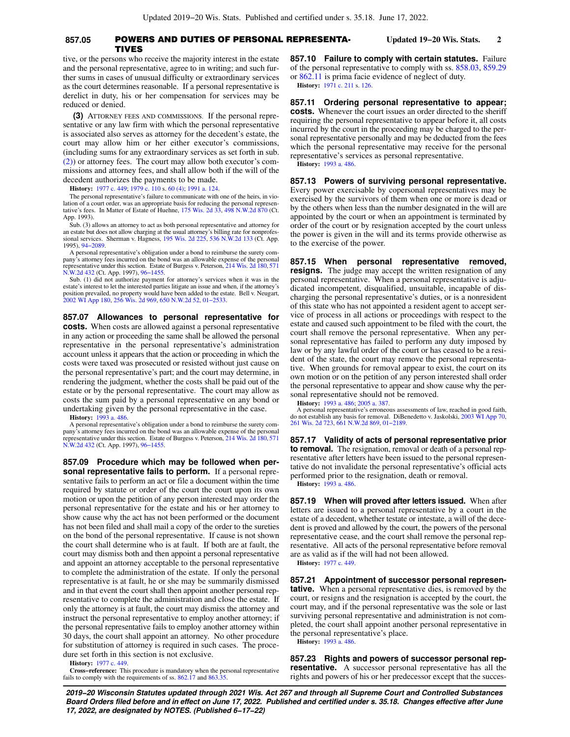### **857.05** POWERS AND DUTIES OF PERSONAL REPRESENTA **Updated 19−20 Wis. Stats. 2 TIVES**

tive, or the persons who receive the majority interest in the estate and the personal representative, agree to in writing; and such further sums in cases of unusual difficulty or extraordinary services as the court determines reasonable. If a personal representative is derelict in duty, his or her compensation for services may be reduced or denied.

**(3)** ATTORNEY FEES AND COMMISSIONS. If the personal representative or any law firm with which the personal representative is associated also serves as attorney for the decedent's estate, the court may allow him or her either executor's commissions, (including sums for any extraordinary services as set forth in sub. [\(2\)](https://docs.legis.wisconsin.gov/document/statutes/857.05(2))) or attorney fees. The court may allow both executor's commissions and attorney fees, and shall allow both if the will of the decedent authorizes the payments to be made.

**History:** [1977 c. 449](https://docs.legis.wisconsin.gov/document/acts/1977/449); [1979 c. 110](https://docs.legis.wisconsin.gov/document/acts/1979/110) s. [60 \(4\);](https://docs.legis.wisconsin.gov/document/acts/1979/110,%20s.%2060) [1991 a. 124](https://docs.legis.wisconsin.gov/document/acts/1991/124).

The personal representative's failure to communicate with one of the heirs, in violation of a court order, was an appropriate basis for reducing the personal represen-tative's fees. In Matter of Estate of Huehne, [175 Wis. 2d 33](https://docs.legis.wisconsin.gov/document/courts/175%20Wis.%202d%2033), [498 N.W.2d 870](https://docs.legis.wisconsin.gov/document/courts/498%20N.W.2d%20870) (Ct. App. 1993).

Sub. (3) allows an attorney to act as both personal representative and attorney for an estate but does not allow charging at the usual attorney's billing rate for nonprofes-<br>sional services. Sherman v. Hagness, [195 Wis. 2d 225,](https://docs.legis.wisconsin.gov/document/courts/195%20Wis.%202d%20225) [536 N.W.2d 133](https://docs.legis.wisconsin.gov/document/courts/536%20N.W.2d%20133) (Ct. App. 1995), [94−2089](https://docs.legis.wisconsin.gov/document/wicourtofappeals/94-2089).

A personal representative's obligation under a bond to reimburse the surety company's attorney fees incurred on the bond was an allowable expense of the personal representative under this section. Estate of Burgess v. Peterson, [214 Wis. 2d 180,](https://docs.legis.wisconsin.gov/document/courts/214%20Wis.%202d%20180) [571](https://docs.legis.wisconsin.gov/document/courts/571%20N.W.2d%20432) [N.W.2d 432](https://docs.legis.wisconsin.gov/document/courts/571%20N.W.2d%20432) (Ct. App. 1997), [96−1455.](https://docs.legis.wisconsin.gov/document/wicourtofappeals/96-1455)

Sub. (1) did not authorize payment for attorney's services when it was in the estate's interest to let the interested parties litigate an issue and when, if the attorney's position prevailed, no property would have been added to the estate. Bell v. Neugart, [2002 WI App 180,](https://docs.legis.wisconsin.gov/document/courts/2002%20WI%20App%20180) [256 Wis. 2d 969](https://docs.legis.wisconsin.gov/document/courts/256%20Wis.%202d%20969), [650 N.W.2d 52](https://docs.legis.wisconsin.gov/document/courts/650%20N.W.2d%2052), [01−2533](https://docs.legis.wisconsin.gov/document/wicourtofappeals/01-2533).

**857.07 Allowances to personal representative for costs.** When costs are allowed against a personal representative in any action or proceeding the same shall be allowed the personal representative in the personal representative's administration account unless it appears that the action or proceeding in which the costs were taxed was prosecuted or resisted without just cause on the personal representative's part; and the court may determine, in rendering the judgment, whether the costs shall be paid out of the estate or by the personal representative. The court may allow as costs the sum paid by a personal representative on any bond or undertaking given by the personal representative in the case.

**History:** [1993 a. 486](https://docs.legis.wisconsin.gov/document/acts/1993/486).

A personal representative's obligation under a bond to reimburse the surety company's attorney fees incurred on the bond was an allowable expense of the personal representative under this section. Estate of Burgess v. Peterson, [214 Wis. 2d 180,](https://docs.legis.wisconsin.gov/document/courts/214%20Wis.%202d%20180) [571](https://docs.legis.wisconsin.gov/document/courts/571%20N.W.2d%20432) [N.W.2d 432](https://docs.legis.wisconsin.gov/document/courts/571%20N.W.2d%20432) (Ct. App. 1997), [96−1455.](https://docs.legis.wisconsin.gov/document/wicourtofappeals/96-1455)

**857.09 Procedure which may be followed when personal representative fails to perform.** If a personal representative fails to perform an act or file a document within the time required by statute or order of the court the court upon its own motion or upon the petition of any person interested may order the personal representative for the estate and his or her attorney to show cause why the act has not been performed or the document has not been filed and shall mail a copy of the order to the sureties on the bond of the personal representative. If cause is not shown the court shall determine who is at fault. If both are at fault, the court may dismiss both and then appoint a personal representative and appoint an attorney acceptable to the personal representative to complete the administration of the estate. If only the personal representative is at fault, he or she may be summarily dismissed and in that event the court shall then appoint another personal representative to complete the administration and close the estate. If only the attorney is at fault, the court may dismiss the attorney and instruct the personal representative to employ another attorney; if the personal representative fails to employ another attorney within 30 days, the court shall appoint an attorney. No other procedure for substitution of attorney is required in such cases. The procedure set forth in this section is not exclusive.

**History:** [1977 c. 449](https://docs.legis.wisconsin.gov/document/acts/1977/449).

**Cross−reference:** This procedure is mandatory when the personal representative fails to comply with the requirements of ss. [862.17](https://docs.legis.wisconsin.gov/document/statutes/862.17) and [863.35](https://docs.legis.wisconsin.gov/document/statutes/863.35).

**857.10 Failure to comply with certain statutes.** Failure of the personal representative to comply with ss. [858.03,](https://docs.legis.wisconsin.gov/document/statutes/858.03) [859.29](https://docs.legis.wisconsin.gov/document/statutes/859.29) or [862.11](https://docs.legis.wisconsin.gov/document/statutes/862.11) is prima facie evidence of neglect of duty. **History:** [1971 c. 211](https://docs.legis.wisconsin.gov/document/acts/1971/211) s. [126.](https://docs.legis.wisconsin.gov/document/acts/1971/211,%20s.%20126)

**857.11 Ordering personal representative to appear; costs.** Whenever the court issues an order directed to the sheriff requiring the personal representative to appear before it, all costs incurred by the court in the proceeding may be charged to the personal representative personally and may be deducted from the fees which the personal representative may receive for the personal representative's services as personal representative. **History:** [1993 a. 486.](https://docs.legis.wisconsin.gov/document/acts/1993/486)

**857.13 Powers of surviving personal representative.** Every power exercisable by copersonal representatives may be exercised by the survivors of them when one or more is dead or by the others when less than the number designated in the will are appointed by the court or when an appointment is terminated by order of the court or by resignation accepted by the court unless the power is given in the will and its terms provide otherwise as to the exercise of the power.

**857.15 When personal representative removed, resigns.** The judge may accept the written resignation of any personal representative. When a personal representative is adjudicated incompetent, disqualified, unsuitable, incapable of discharging the personal representative's duties, or is a nonresident of this state who has not appointed a resident agent to accept service of process in all actions or proceedings with respect to the estate and caused such appointment to be filed with the court, the court shall remove the personal representative. When any personal representative has failed to perform any duty imposed by law or by any lawful order of the court or has ceased to be a resident of the state, the court may remove the personal representative. When grounds for removal appear to exist, the court on its own motion or on the petition of any person interested shall order the personal representative to appear and show cause why the personal representative should not be removed.

**History:** [1993 a. 486;](https://docs.legis.wisconsin.gov/document/acts/1993/486) [2005 a. 387](https://docs.legis.wisconsin.gov/document/acts/2005/387).

A personal representative's erroneous assessments of law, reached in good faith, do not establish any basis for removal. DiBenedetto v. Jaskolski, [2003 WI App 70](https://docs.legis.wisconsin.gov/document/courts/2003%20WI%20App%2070), [261 Wis. 2d 723](https://docs.legis.wisconsin.gov/document/courts/261%20Wis.%202d%20723), [661 N.W.2d 869,](https://docs.legis.wisconsin.gov/document/courts/661%20N.W.2d%20869) [01−2189.](https://docs.legis.wisconsin.gov/document/wicourtofappeals/01-2189)

**857.17 Validity of acts of personal representative prior to removal.** The resignation, removal or death of a personal representative after letters have been issued to the personal representative do not invalidate the personal representative's official acts performed prior to the resignation, death or removal. **History:** [1993 a. 486.](https://docs.legis.wisconsin.gov/document/acts/1993/486)

**857.19 When will proved after letters issued.** When after letters are issued to a personal representative by a court in the estate of a decedent, whether testate or intestate, a will of the decedent is proved and allowed by the court, the powers of the personal representative cease, and the court shall remove the personal representative. All acts of the personal representative before removal are as valid as if the will had not been allowed. **History:** [1977 c. 449.](https://docs.legis.wisconsin.gov/document/acts/1977/449)

**857.21 Appointment of successor personal representative.** When a personal representative dies, is removed by the court, or resigns and the resignation is accepted by the court, the court may, and if the personal representative was the sole or last surviving personal representative and administration is not completed, the court shall appoint another personal representative in the personal representative's place.

**History:** [1993 a. 486.](https://docs.legis.wisconsin.gov/document/acts/1993/486)

**857.23 Rights and powers of successor personal representative.** A successor personal representative has all the rights and powers of his or her predecessor except that the succes-

**2019−20 Wisconsin Statutes updated through 2021 Wis. Act 267 and through all Supreme Court and Controlled Substances Board Orders filed before and in effect on June 17, 2022. Published and certified under s. 35.18. Changes effective after June 17, 2022, are designated by NOTES. (Published 6−17−22)**